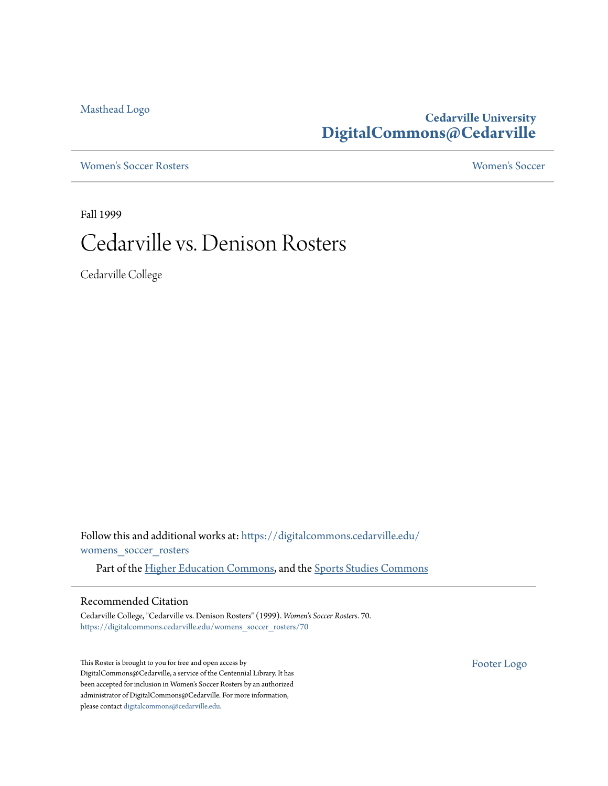[Masthead Logo](http://www.cedarville.edu/?utm_source=digitalcommons.cedarville.edu%2Fwomens_soccer_rosters%2F70&utm_medium=PDF&utm_campaign=PDFCoverPages)

## **Cedarville University [DigitalCommons@Cedarville](https://digitalcommons.cedarville.edu?utm_source=digitalcommons.cedarville.edu%2Fwomens_soccer_rosters%2F70&utm_medium=PDF&utm_campaign=PDFCoverPages)**

[Women's Soccer Rosters](https://digitalcommons.cedarville.edu/womens_soccer_rosters?utm_source=digitalcommons.cedarville.edu%2Fwomens_soccer_rosters%2F70&utm_medium=PDF&utm_campaign=PDFCoverPages) [Women's Soccer](https://digitalcommons.cedarville.edu/womens_soccer?utm_source=digitalcommons.cedarville.edu%2Fwomens_soccer_rosters%2F70&utm_medium=PDF&utm_campaign=PDFCoverPages)

Fall 1999

# Cedarville vs. Denison Rosters

Cedarville College

Follow this and additional works at: [https://digitalcommons.cedarville.edu/](https://digitalcommons.cedarville.edu/womens_soccer_rosters?utm_source=digitalcommons.cedarville.edu%2Fwomens_soccer_rosters%2F70&utm_medium=PDF&utm_campaign=PDFCoverPages) [womens\\_soccer\\_rosters](https://digitalcommons.cedarville.edu/womens_soccer_rosters?utm_source=digitalcommons.cedarville.edu%2Fwomens_soccer_rosters%2F70&utm_medium=PDF&utm_campaign=PDFCoverPages)

Part of the [Higher Education Commons](http://network.bepress.com/hgg/discipline/1245?utm_source=digitalcommons.cedarville.edu%2Fwomens_soccer_rosters%2F70&utm_medium=PDF&utm_campaign=PDFCoverPages), and the [Sports Studies Commons](http://network.bepress.com/hgg/discipline/1198?utm_source=digitalcommons.cedarville.edu%2Fwomens_soccer_rosters%2F70&utm_medium=PDF&utm_campaign=PDFCoverPages)

#### Recommended Citation

Cedarville College, "Cedarville vs. Denison Rosters" (1999). *Women's Soccer Rosters*. 70. [https://digitalcommons.cedarville.edu/womens\\_soccer\\_rosters/70](https://digitalcommons.cedarville.edu/womens_soccer_rosters/70?utm_source=digitalcommons.cedarville.edu%2Fwomens_soccer_rosters%2F70&utm_medium=PDF&utm_campaign=PDFCoverPages)

This Roster is brought to you for free and open access by DigitalCommons@Cedarville, a service of the Centennial Library. It has been accepted for inclusion in Women's Soccer Rosters by an authorized administrator of DigitalCommons@Cedarville. For more information, please contact [digitalcommons@cedarville.edu.](mailto:digitalcommons@cedarville.edu)

[Footer Logo](http://www.cedarville.edu/Academics/Library.aspx?utm_source=digitalcommons.cedarville.edu%2Fwomens_soccer_rosters%2F70&utm_medium=PDF&utm_campaign=PDFCoverPages)